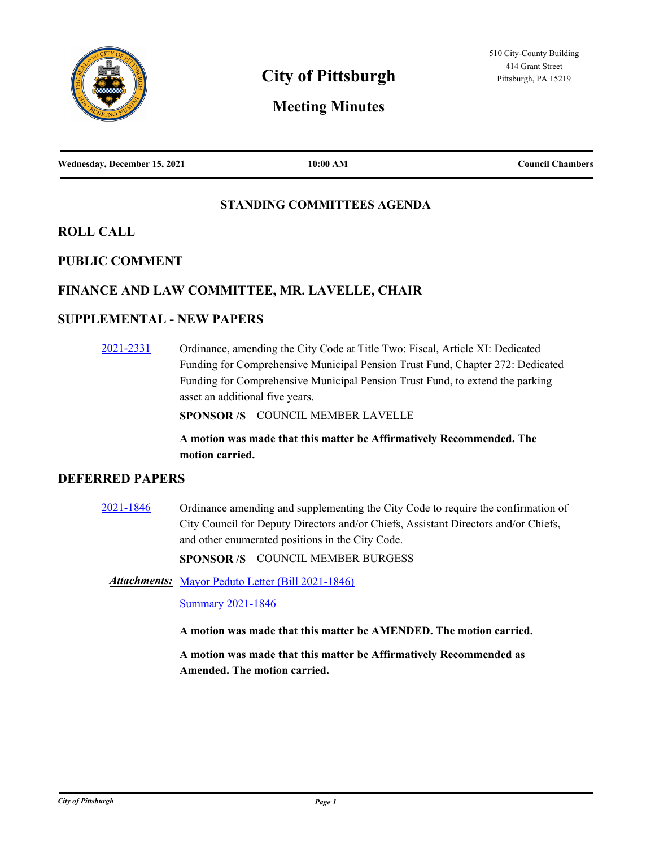

# **Meeting Minutes**

| Wednesday, December 15, 2021 | 10:00 AM | <b>Council Chambers</b> |
|------------------------------|----------|-------------------------|
|                              |          |                         |

## **STANDING COMMITTEES AGENDA**

## **ROLL CALL**

## **PUBLIC COMMENT**

## **FINANCE AND LAW COMMITTEE, MR. LAVELLE, CHAIR**

# **SUPPLEMENTAL - NEW PAPERS**

[2021-2331](http://pittsburgh.legistar.com/gateway.aspx?m=l&id=/matter.aspx?key=27234) Ordinance, amending the City Code at Title Two: Fiscal, Article XI: Dedicated Funding for Comprehensive Municipal Pension Trust Fund, Chapter 272: Dedicated Funding for Comprehensive Municipal Pension Trust Fund, to extend the parking asset an additional five years.

**SPONSOR /S** COUNCIL MEMBER LAVELLE

## **A motion was made that this matter be Affirmatively Recommended. The motion carried.**

## **DEFERRED PAPERS**

[2021-1846](http://pittsburgh.legistar.com/gateway.aspx?m=l&id=/matter.aspx?key=26716) Ordinance amending and supplementing the City Code to require the confirmation of City Council for Deputy Directors and/or Chiefs, Assistant Directors and/or Chiefs, and other enumerated positions in the City Code.

**SPONSOR /S** COUNCIL MEMBER BURGESS

Attachments: [Mayor Peduto Letter \(Bill 2021-1846\)](http://pittsburgh.legistar.com/gateway.aspx?M=F&ID=8bbc2d97-8d76-498a-8af8-2531d9ade7b6.pdf)

[Summary 2021-1846](http://pittsburgh.legistar.com/gateway.aspx?M=F&ID=3ef5602a-f1a4-4c86-92a1-31cf930a2fd0.docx)

**A motion was made that this matter be AMENDED. The motion carried.**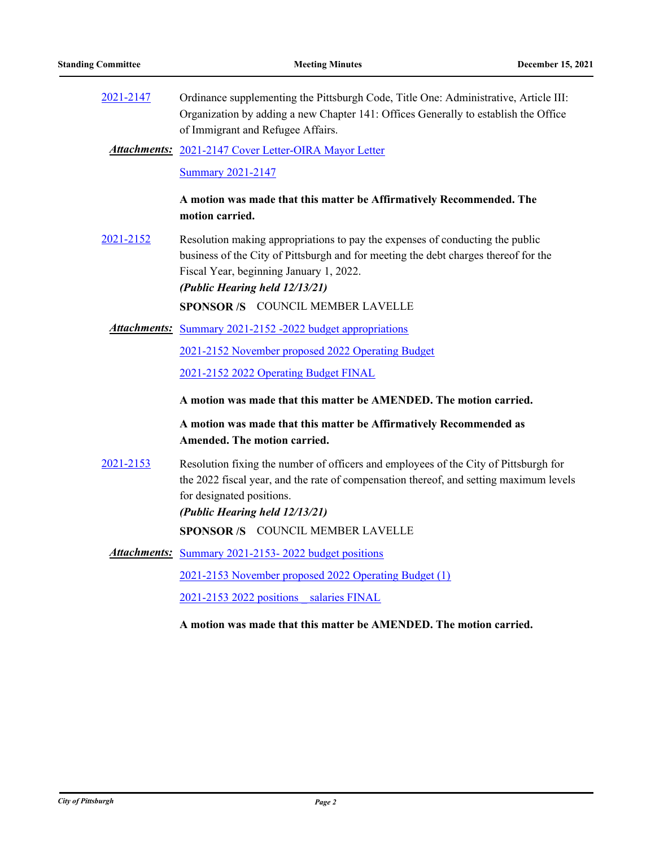[2021-2147](http://pittsburgh.legistar.com/gateway.aspx?m=l&id=/matter.aspx?key=27040) Ordinance supplementing the Pittsburgh Code, Title One: Administrative, Article III: Organization by adding a new Chapter 141: Offices Generally to establish the Office of Immigrant and Refugee Affairs.

[2021-2147 Cover Letter-OIRA Mayor Letter](http://pittsburgh.legistar.com/gateway.aspx?M=F&ID=25888c74-bcc4-442a-b257-315209996545.docx) *Attachments:*

[Summary 2021-2147](http://pittsburgh.legistar.com/gateway.aspx?M=F&ID=36b84069-458f-4419-a0ec-a183bcc13b42.docx)

**A motion was made that this matter be Affirmatively Recommended. The motion carried.**

[2021-2152](http://pittsburgh.legistar.com/gateway.aspx?m=l&id=/matter.aspx?key=27045) Resolution making appropriations to pay the expenses of conducting the public business of the City of Pittsburgh and for meeting the debt charges thereof for the Fiscal Year, beginning January 1, 2022. *(Public Hearing held 12/13/21)*

**SPONSOR /S** COUNCIL MEMBER LAVELLE

Attachments: [Summary 2021-2152 -2022 budget appropriations](http://pittsburgh.legistar.com/gateway.aspx?M=F&ID=91f622b6-c393-4a5f-ae82-7fadbc0a542d.docx)

[2021-2152 November proposed 2022 Operating Budget](http://pittsburgh.legistar.com/gateway.aspx?M=F&ID=2e0b515e-2a85-486f-8256-0a50a91e2b10.pdf)

[2021-2152 2022 Operating Budget FINAL](http://pittsburgh.legistar.com/gateway.aspx?M=F&ID=7cd9fb19-1b14-49be-821c-19a20f05e0fb.pdf)

**A motion was made that this matter be AMENDED. The motion carried.**

**A motion was made that this matter be Affirmatively Recommended as Amended. The motion carried.**

[2021-2153](http://pittsburgh.legistar.com/gateway.aspx?m=l&id=/matter.aspx?key=27046) Resolution fixing the number of officers and employees of the City of Pittsburgh for the 2022 fiscal year, and the rate of compensation thereof, and setting maximum levels for designated positions. *(Public Hearing held 12/13/21)*

**SPONSOR /S** COUNCIL MEMBER LAVELLE

Attachments: Summary 2021-2153-2022 budget positions [2021-2153 November proposed 2022 Operating Budget \(1\)](http://pittsburgh.legistar.com/gateway.aspx?M=F&ID=697f332a-041b-4888-b2fc-fe71c6e4b64b.pdf) [2021-2153 2022 positions \\_ salaries FINAL](http://pittsburgh.legistar.com/gateway.aspx?M=F&ID=c58c5628-3252-4eb6-84b0-c1ebb266e5f4.pdf)

**A motion was made that this matter be AMENDED. The motion carried.**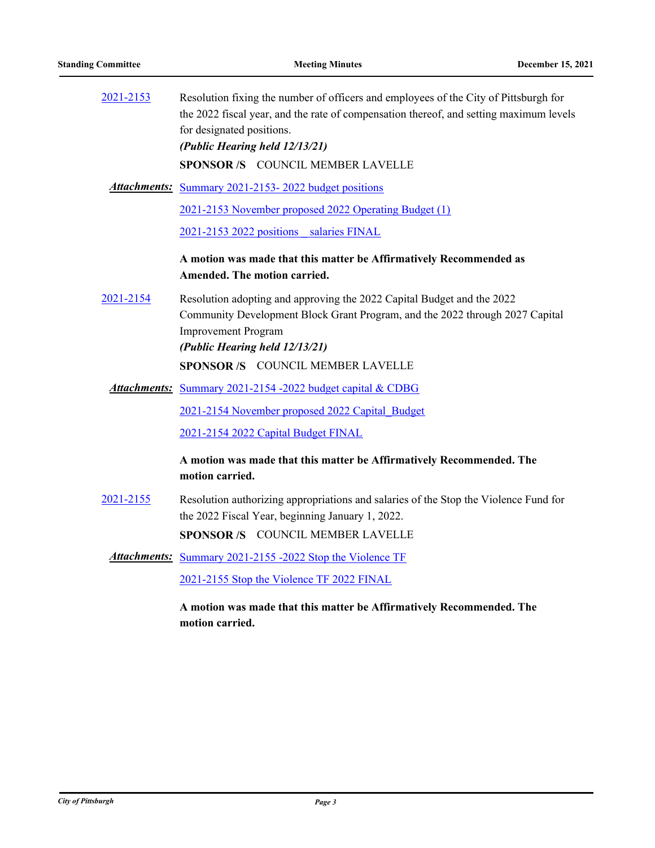| 2021-2153 | Resolution fixing the number of officers and employees of the City of Pittsburgh for<br>the 2022 fiscal year, and the rate of compensation thereof, and setting maximum levels<br>for designated positions.<br>(Public Hearing held 12/13/21) |
|-----------|-----------------------------------------------------------------------------------------------------------------------------------------------------------------------------------------------------------------------------------------------|
|           | SPONSOR /S COUNCIL MEMBER LAVELLE                                                                                                                                                                                                             |
|           | <b>Attachments:</b> Summary 2021-2153-2022 budget positions                                                                                                                                                                                   |
|           | 2021-2153 November proposed 2022 Operating Budget (1)                                                                                                                                                                                         |
|           | 2021-2153 2022 positions salaries FINAL                                                                                                                                                                                                       |
|           | A motion was made that this matter be Affirmatively Recommended as<br>Amended. The motion carried.                                                                                                                                            |
| 2021-2154 | Resolution adopting and approving the 2022 Capital Budget and the 2022<br>Community Development Block Grant Program, and the 2022 through 2027 Capital<br><b>Improvement Program</b><br>(Public Hearing held 12/13/21)                        |
|           | <b>SPONSOR/S COUNCIL MEMBER LAVELLE</b>                                                                                                                                                                                                       |
|           | Attachments: Summary 2021-2154 -2022 budget capital & CDBG                                                                                                                                                                                    |
|           | 2021-2154 November proposed 2022 Capital Budget                                                                                                                                                                                               |
|           | 2021-2154 2022 Capital Budget FINAL                                                                                                                                                                                                           |
|           | A motion was made that this matter be Affirmatively Recommended. The                                                                                                                                                                          |
|           | motion carried.                                                                                                                                                                                                                               |
| 2021-2155 | Resolution authorizing appropriations and salaries of the Stop the Violence Fund for<br>the 2022 Fiscal Year, beginning January 1, 2022.                                                                                                      |
|           | SPONSOR /S COUNCIL MEMBER LAVELLE                                                                                                                                                                                                             |
|           | <b>Attachments:</b> Summary 2021-2155-2022 Stop the Violence TF                                                                                                                                                                               |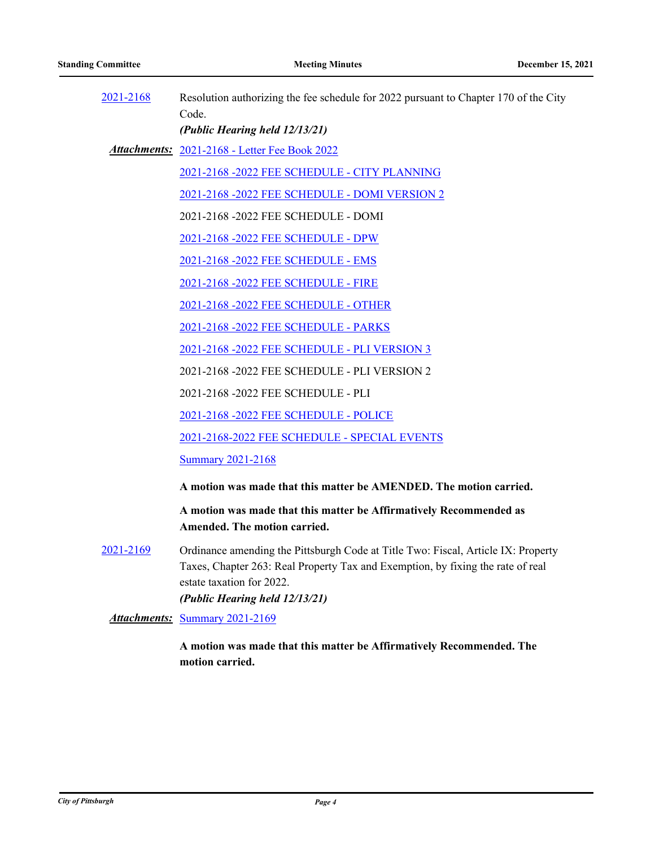| 2021-2168 | Resolution authorizing the fee schedule for 2022 pursuant to Chapter 170 of the City                                                                                 |
|-----------|----------------------------------------------------------------------------------------------------------------------------------------------------------------------|
|           | Code.                                                                                                                                                                |
|           | (Public Hearing held 12/13/21)                                                                                                                                       |
|           | Attachments: 2021-2168 - Letter Fee Book 2022                                                                                                                        |
|           | 2021-2168 -2022 FEE SCHEDULE - CITY PLANNING                                                                                                                         |
|           | 2021-2168 -2022 FEE SCHEDULE - DOMI VERSION 2                                                                                                                        |
|           | 2021-2168 -2022 FEE SCHEDULE - DOMI                                                                                                                                  |
|           | 2021-2168 -2022 FEE SCHEDULE - DPW                                                                                                                                   |
|           | 2021-2168 -2022 FEE SCHEDULE - EMS                                                                                                                                   |
|           | 2021-2168 -2022 FEE SCHEDULE - FIRE                                                                                                                                  |
|           | 2021-2168 -2022 FEE SCHEDULE - OTHER                                                                                                                                 |
|           | 2021-2168 -2022 FEE SCHEDULE - PARKS                                                                                                                                 |
|           | 2021-2168 -2022 FEE SCHEDULE - PLI VERSION 3                                                                                                                         |
|           | 2021-2168 -2022 FEE SCHEDULE - PLI VERSION 2                                                                                                                         |
|           | 2021-2168 -2022 FEE SCHEDULE - PLI                                                                                                                                   |
|           | 2021-2168 -2022 FEE SCHEDULE - POLICE                                                                                                                                |
|           | 2021-2168-2022 FEE SCHEDULE - SPECIAL EVENTS                                                                                                                         |
|           | <b>Summary 2021-2168</b>                                                                                                                                             |
|           | A motion was made that this matter be AMENDED. The motion carried.                                                                                                   |
|           | A motion was made that this matter be Affirmatively Recommended as<br>Amended. The motion carried.                                                                   |
| 2021-2169 | Ordinance amending the Pittsburgh Code at Title Two: Fiscal, Article IX: Property<br>Taxes, Chapter 263: Real Property Tax and Exemption, by fixing the rate of real |

*(Public Hearing held 12/13/21)*

estate taxation for 2022.

*Attachments:* [Summary 2021-2169](http://pittsburgh.legistar.com/gateway.aspx?M=F&ID=60544df4-74e5-4745-b90a-c3fb55fb50b0.docx)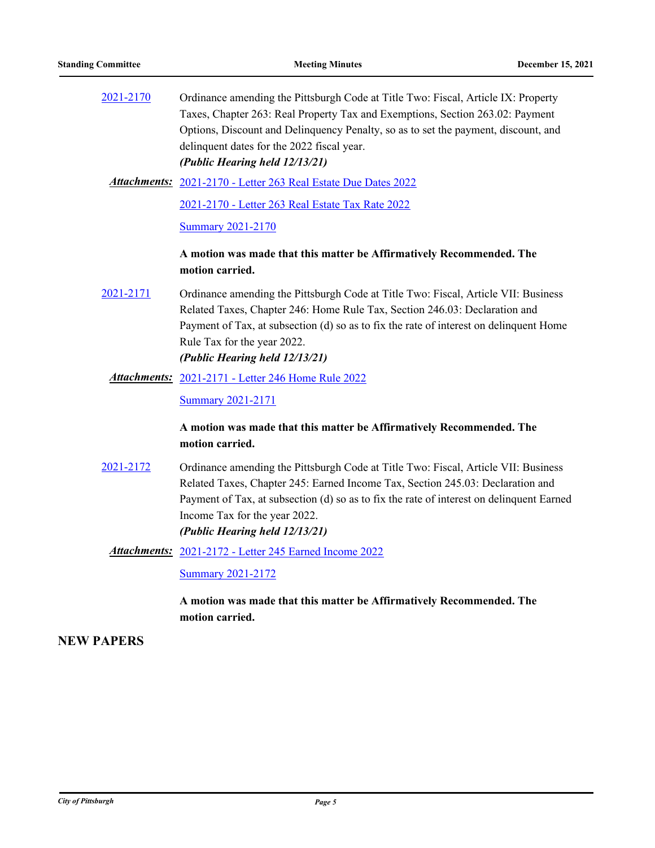| 2021-2170 | Ordinance amending the Pittsburgh Code at Title Two: Fiscal, Article IX: Property  |
|-----------|------------------------------------------------------------------------------------|
|           | Taxes, Chapter 263: Real Property Tax and Exemptions, Section 263.02: Payment      |
|           | Options, Discount and Delinquency Penalty, so as to set the payment, discount, and |
|           | delinquent dates for the 2022 fiscal year.                                         |
|           | (Public Hearing held 12/13/21)                                                     |
|           | <b>Attachments:</b> 2021-2170 - Letter 263 Real Estate Due Dates 2022              |

[2021-2170 - Letter 263 Real Estate Tax Rate 2022](http://pittsburgh.legistar.com/gateway.aspx?M=F&ID=93d18c63-78cc-40b3-ad18-d29de0d0390b.docx)

[Summary 2021-2170](http://pittsburgh.legistar.com/gateway.aspx?M=F&ID=3e82e050-4f01-431f-94e0-a0ca72d9ab8b.docx)

## **A motion was made that this matter be Affirmatively Recommended. The motion carried.**

[2021-2171](http://pittsburgh.legistar.com/gateway.aspx?m=l&id=/matter.aspx?key=27064) Ordinance amending the Pittsburgh Code at Title Two: Fiscal, Article VII: Business Related Taxes, Chapter 246: Home Rule Tax, Section 246.03: Declaration and Payment of Tax, at subsection (d) so as to fix the rate of interest on delinquent Home Rule Tax for the year 2022. *(Public Hearing held 12/13/21)*

# [2021-2171 - Letter 246 Home Rule 2022](http://pittsburgh.legistar.com/gateway.aspx?M=F&ID=f17c487f-5427-40a1-a4e4-be9654cfc8d3.docx) *Attachments:*

[Summary 2021-2171](http://pittsburgh.legistar.com/gateway.aspx?M=F&ID=604aaecf-885a-4e4a-a188-0cda286242d9.docx)

## **A motion was made that this matter be Affirmatively Recommended. The motion carried.**

- [2021-2172](http://pittsburgh.legistar.com/gateway.aspx?m=l&id=/matter.aspx?key=27065) Ordinance amending the Pittsburgh Code at Title Two: Fiscal, Article VII: Business Related Taxes, Chapter 245: Earned Income Tax, Section 245.03: Declaration and Payment of Tax, at subsection (d) so as to fix the rate of interest on delinquent Earned Income Tax for the year 2022. *(Public Hearing held 12/13/21)*
	- [2021-2172 Letter 245 Earned Income 2022](http://pittsburgh.legistar.com/gateway.aspx?M=F&ID=134a28d6-005f-4dd6-856a-8522a3b014bd.docx) *Attachments:*

[Summary 2021-2172](http://pittsburgh.legistar.com/gateway.aspx?M=F&ID=8e889bf4-4c5a-47b4-baac-4a6e7928d558.docx)

**A motion was made that this matter be Affirmatively Recommended. The motion carried.**

## **NEW PAPERS**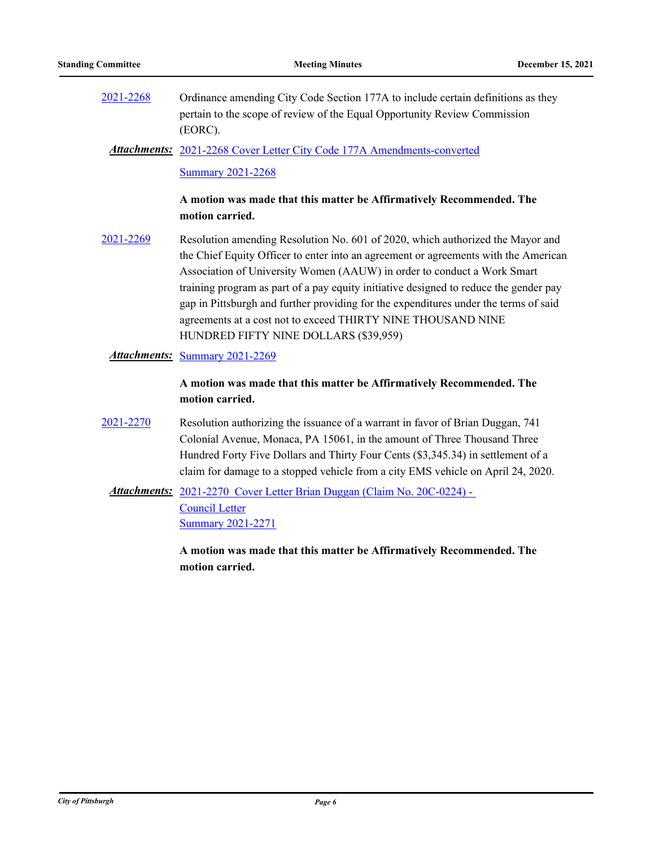[2021-2268](http://pittsburgh.legistar.com/gateway.aspx?m=l&id=/matter.aspx?key=27170) Ordinance amending City Code Section 177A to include certain definitions as they pertain to the scope of review of the Equal Opportunity Review Commission (EORC).

Attachments: [2021-2268 Cover Letter City Code 177A Amendments-converted](http://pittsburgh.legistar.com/gateway.aspx?M=F&ID=996a4eee-451f-4e1e-8253-c14d65ca1a68.pdf)

[Summary 2021-2268](http://pittsburgh.legistar.com/gateway.aspx?M=F&ID=695a69fc-0edf-479f-a112-95f7a88f4ae4.docx)

## **A motion was made that this matter be Affirmatively Recommended. The motion carried.**

[2021-2269](http://pittsburgh.legistar.com/gateway.aspx?m=l&id=/matter.aspx?key=27171) Resolution amending Resolution No. 601 of 2020, which authorized the Mayor and the Chief Equity Officer to enter into an agreement or agreements with the American Association of University Women (AAUW) in order to conduct a Work Smart training program as part of a pay equity initiative designed to reduce the gender pay gap in Pittsburgh and further providing for the expenditures under the terms of said agreements at a cost not to exceed THIRTY NINE THOUSAND NINE HUNDRED FIFTY NINE DOLLARS (\$39,959)

## *Attachments:* [Summary 2021-2269](http://pittsburgh.legistar.com/gateway.aspx?M=F&ID=4ee9b455-6e56-413f-8eb9-d2201fc6a06a.docx)

## **A motion was made that this matter be Affirmatively Recommended. The motion carried.**

- [2021-2270](http://pittsburgh.legistar.com/gateway.aspx?m=l&id=/matter.aspx?key=27172) Resolution authorizing the issuance of a warrant in favor of Brian Duggan, 741 Colonial Avenue, Monaca, PA 15061, in the amount of Three Thousand Three Hundred Forty Five Dollars and Thirty Four Cents (\$3,345.34) in settlement of a claim for damage to a stopped vehicle from a city EMS vehicle on April 24, 2020.
	- Attachments: 2021-2270 Cover Letter Brian Duggan (Claim No. 20C-0224) -Council Letter [Summary 2021-2271](http://pittsburgh.legistar.com/gateway.aspx?M=F&ID=ed73be42-8908-4c4e-8668-c1bb420e078a.docx)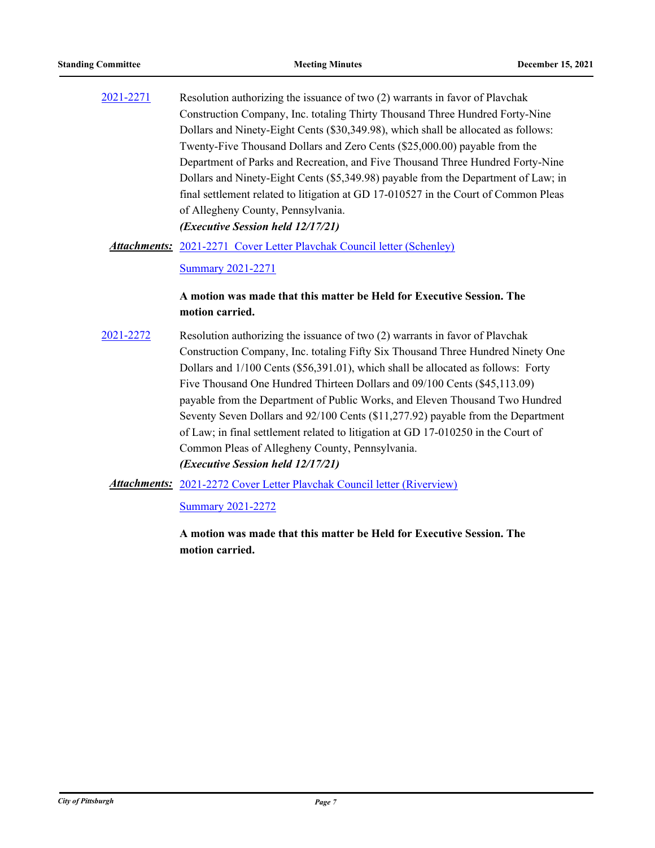[2021-2271](http://pittsburgh.legistar.com/gateway.aspx?m=l&id=/matter.aspx?key=27173) Resolution authorizing the issuance of two (2) warrants in favor of Plavchak Construction Company, Inc. totaling Thirty Thousand Three Hundred Forty-Nine Dollars and Ninety-Eight Cents (\$30,349.98), which shall be allocated as follows: Twenty-Five Thousand Dollars and Zero Cents (\$25,000.00) payable from the Department of Parks and Recreation, and Five Thousand Three Hundred Forty-Nine Dollars and Ninety-Eight Cents (\$5,349.98) payable from the Department of Law; in final settlement related to litigation at GD 17-010527 in the Court of Common Pleas of Allegheny County, Pennsylvania. *(Executive Session held 12/17/21)*

Attachments: [2021-2271 Cover Letter Plavchak Council letter \(Schenley\)](http://pittsburgh.legistar.com/gateway.aspx?M=F&ID=e8fb1457-3c9d-4515-babe-e7d001092a53.docx)

[Summary 2021-2271](http://pittsburgh.legistar.com/gateway.aspx?M=F&ID=97e07721-fc2e-4bc2-89a7-0bf296d84b79.docx)

## **A motion was made that this matter be Held for Executive Session. The motion carried.**

[2021-2272](http://pittsburgh.legistar.com/gateway.aspx?m=l&id=/matter.aspx?key=27174) Resolution authorizing the issuance of two (2) warrants in favor of Plavchak Construction Company, Inc. totaling Fifty Six Thousand Three Hundred Ninety One Dollars and 1/100 Cents (\$56,391.01), which shall be allocated as follows: Forty Five Thousand One Hundred Thirteen Dollars and 09/100 Cents (\$45,113.09) payable from the Department of Public Works, and Eleven Thousand Two Hundred Seventy Seven Dollars and 92/100 Cents (\$11,277.92) payable from the Department of Law; in final settlement related to litigation at GD 17-010250 in the Court of Common Pleas of Allegheny County, Pennsylvania. *(Executive Session held 12/17/21)*

Attachments: [2021-2272 Cover Letter Plavchak Council letter \(Riverview\)](http://pittsburgh.legistar.com/gateway.aspx?M=F&ID=a75700d4-eca9-4f05-90c7-9c7c9d4226de.docx)

[Summary 2021-2272](http://pittsburgh.legistar.com/gateway.aspx?M=F&ID=f3d2cfe2-e145-4c9a-a8b0-644c4f0b05ab.docx)

**A motion was made that this matter be Held for Executive Session. The motion carried.**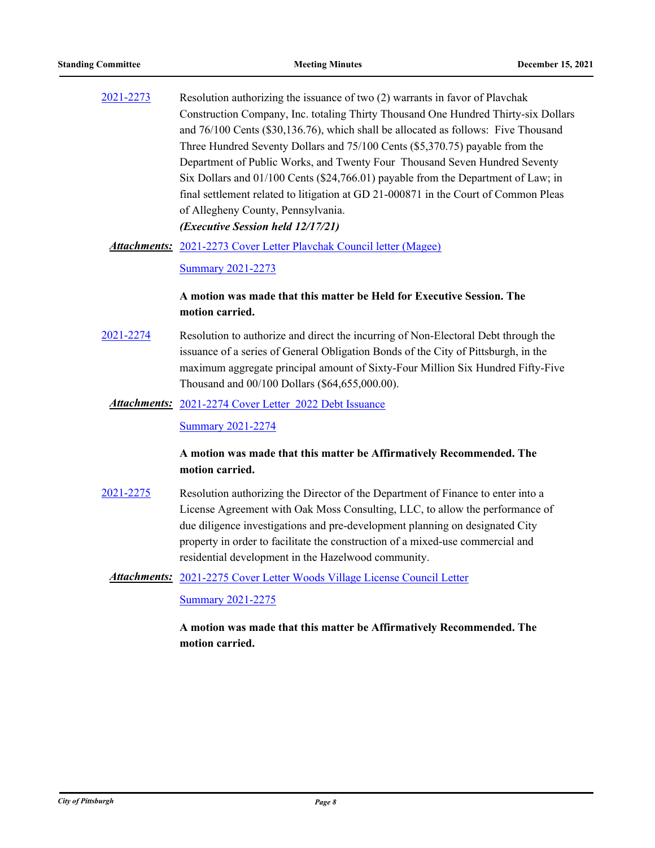[2021-2273](http://pittsburgh.legistar.com/gateway.aspx?m=l&id=/matter.aspx?key=27175) Resolution authorizing the issuance of two (2) warrants in favor of Plavchak Construction Company, Inc. totaling Thirty Thousand One Hundred Thirty-six Dollars and 76/100 Cents (\$30,136.76), which shall be allocated as follows: Five Thousand Three Hundred Seventy Dollars and 75/100 Cents (\$5,370.75) payable from the Department of Public Works, and Twenty Four Thousand Seven Hundred Seventy Six Dollars and 01/100 Cents (\$24,766.01) payable from the Department of Law; in final settlement related to litigation at GD 21-000871 in the Court of Common Pleas of Allegheny County, Pennsylvania. *(Executive Session held 12/17/21)*

Attachments: [2021-2273 Cover Letter Plavchak Council letter \(Magee\)](http://pittsburgh.legistar.com/gateway.aspx?M=F&ID=8fdcde13-8368-4fef-9be3-fe72ef1cbcc9.docx)

[Summary 2021-2273](http://pittsburgh.legistar.com/gateway.aspx?M=F&ID=ed893a9a-f535-4082-ac8a-85c5fdc57757.docx)

## **A motion was made that this matter be Held for Executive Session. The motion carried.**

- [2021-2274](http://pittsburgh.legistar.com/gateway.aspx?m=l&id=/matter.aspx?key=27176) Resolution to authorize and direct the incurring of Non-Electoral Debt through the issuance of a series of General Obligation Bonds of the City of Pittsburgh, in the maximum aggregate principal amount of Sixty-Four Million Six Hundred Fifty-Five Thousand and 00/100 Dollars (\$64,655,000.00).
	- Attachments: [2021-2274 Cover Letter 2022 Debt Issuance](http://pittsburgh.legistar.com/gateway.aspx?M=F&ID=26503bfb-939e-4fb5-a366-2eef1cc446e6.docx)

[Summary 2021-2274](http://pittsburgh.legistar.com/gateway.aspx?M=F&ID=4dd07adc-d071-4969-a3fb-4d6defe1f608.docx)

## **A motion was made that this matter be Affirmatively Recommended. The motion carried.**

[2021-2275](http://pittsburgh.legistar.com/gateway.aspx?m=l&id=/matter.aspx?key=27177) Resolution authorizing the Director of the Department of Finance to enter into a License Agreement with Oak Moss Consulting, LLC, to allow the performance of due diligence investigations and pre-development planning on designated City property in order to facilitate the construction of a mixed-use commercial and residential development in the Hazelwood community.

Attachments: [2021-2275 Cover Letter Woods Village License Council Letter](http://pittsburgh.legistar.com/gateway.aspx?M=F&ID=dd58616c-b4b3-49e6-95ec-9885e0b13eaf.docx)

[Summary 2021-2275](http://pittsburgh.legistar.com/gateway.aspx?M=F&ID=04587a5f-3ce8-4e83-8c59-74dc1b0fac61.docx)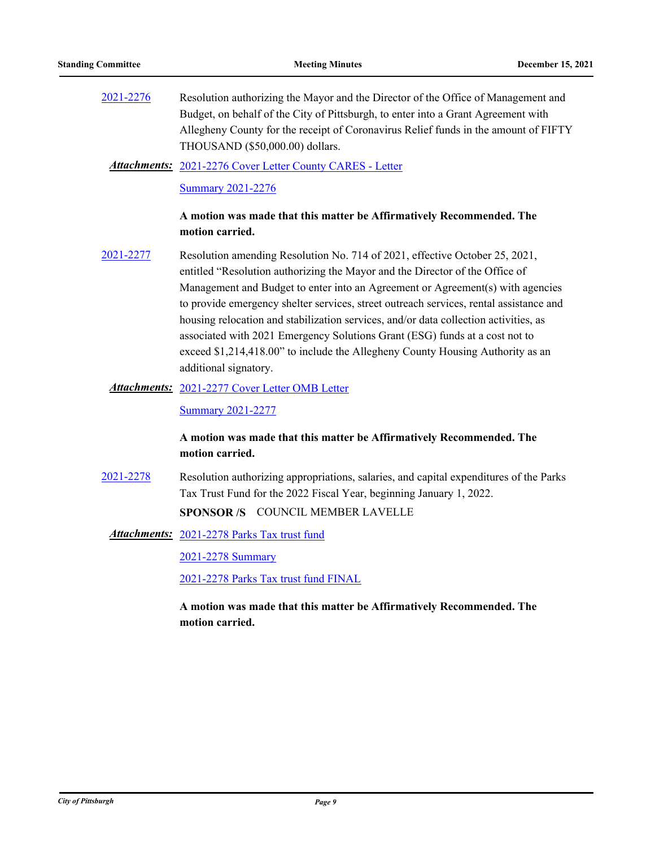[2021-2276](http://pittsburgh.legistar.com/gateway.aspx?m=l&id=/matter.aspx?key=27178) Resolution authorizing the Mayor and the Director of the Office of Management and Budget, on behalf of the City of Pittsburgh, to enter into a Grant Agreement with Allegheny County for the receipt of Coronavirus Relief funds in the amount of FIFTY THOUSAND (\$50,000.00) dollars.

#### [2021-2276 Cover Letter County CARES - Letter](http://pittsburgh.legistar.com/gateway.aspx?M=F&ID=0791564b-e169-4a1d-8f3b-ebb34b3f0e51.pdf) *Attachments:*

#### [Summary 2021-2276](http://pittsburgh.legistar.com/gateway.aspx?M=F&ID=317cfaef-f22e-4a07-abe6-30111ca4158f.docx)

## **A motion was made that this matter be Affirmatively Recommended. The motion carried.**

[2021-2277](http://pittsburgh.legistar.com/gateway.aspx?m=l&id=/matter.aspx?key=27179) Resolution amending Resolution No. 714 of 2021, effective October 25, 2021, entitled "Resolution authorizing the Mayor and the Director of the Office of Management and Budget to enter into an Agreement or Agreement(s) with agencies to provide emergency shelter services, street outreach services, rental assistance and housing relocation and stabilization services, and/or data collection activities, as associated with 2021 Emergency Solutions Grant (ESG) funds at a cost not to exceed \$1,214,418.00" to include the Allegheny County Housing Authority as an additional signatory.

#### Attachments: [2021-2277 Cover Letter OMB Letter](http://pittsburgh.legistar.com/gateway.aspx?M=F&ID=ee68552d-2dc1-4b49-86f0-4b6a37377d72.docx)

[Summary 2021-2277](http://pittsburgh.legistar.com/gateway.aspx?M=F&ID=340d076f-93bd-48de-be71-c33b88d932ed.docx)

## **A motion was made that this matter be Affirmatively Recommended. The motion carried.**

[2021-2278](http://pittsburgh.legistar.com/gateway.aspx?m=l&id=/matter.aspx?key=27180) Resolution authorizing appropriations, salaries, and capital expenditures of the Parks Tax Trust Fund for the 2022 Fiscal Year, beginning January 1, 2022. **SPONSOR /S** COUNCIL MEMBER LAVELLE

[2021-2278 Parks Tax trust fund](http://pittsburgh.legistar.com/gateway.aspx?M=F&ID=b70358f8-b8ad-4c65-8aa7-7bad4a7b0836.pdf) *Attachments:*

[2021-2278 Summary](http://pittsburgh.legistar.com/gateway.aspx?M=F&ID=2abfa815-d676-478c-bb42-59dfc6aafe50.docx)

[2021-2278 Parks Tax trust fund FINAL](http://pittsburgh.legistar.com/gateway.aspx?M=F&ID=3fe69db0-9a33-4b2d-b96f-5ac4fb3fe60e.pdf)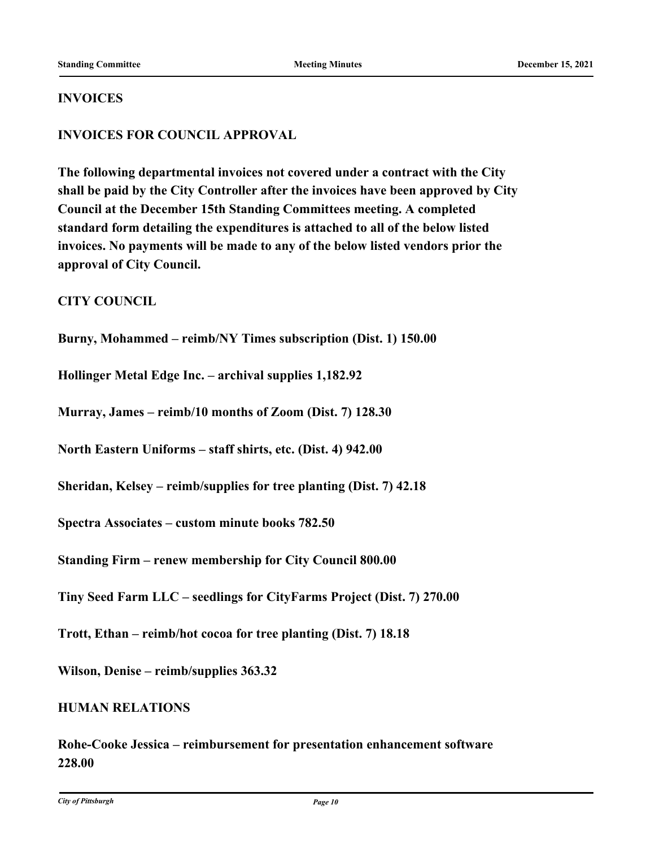## **INVOICES**

## **INVOICES FOR COUNCIL APPROVAL**

**The following departmental invoices not covered under a contract with the City shall be paid by the City Controller after the invoices have been approved by City Council at the December 15th Standing Committees meeting. A completed standard form detailing the expenditures is attached to all of the below listed invoices. No payments will be made to any of the below listed vendors prior the approval of City Council.**

**CITY COUNCIL**

**Burny, Mohammed – reimb/NY Times subscription (Dist. 1) 150.00**

**Hollinger Metal Edge Inc. – archival supplies 1,182.92**

**Murray, James – reimb/10 months of Zoom (Dist. 7) 128.30**

**North Eastern Uniforms – staff shirts, etc. (Dist. 4) 942.00**

**Sheridan, Kelsey – reimb/supplies for tree planting (Dist. 7) 42.18**

**Spectra Associates – custom minute books 782.50**

**Standing Firm – renew membership for City Council 800.00**

**Tiny Seed Farm LLC – seedlings for CityFarms Project (Dist. 7) 270.00**

**Trott, Ethan – reimb/hot cocoa for tree planting (Dist. 7) 18.18**

**Wilson, Denise – reimb/supplies 363.32**

## **HUMAN RELATIONS**

**Rohe-Cooke Jessica – reimbursement for presentation enhancement software 228.00**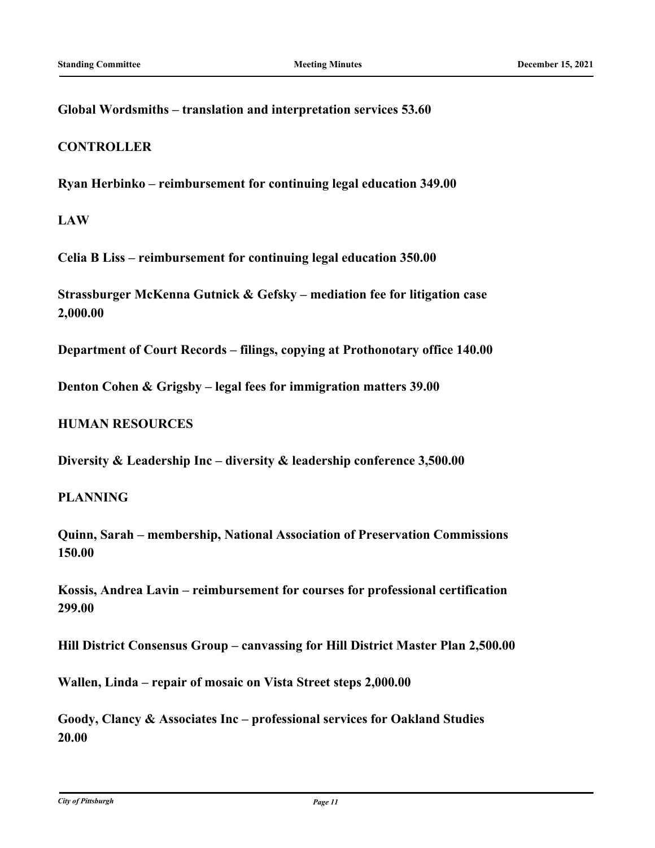**Global Wordsmiths – translation and interpretation services 53.60**

## **CONTROLLER**

**Ryan Herbinko – reimbursement for continuing legal education 349.00**

**LAW**

**Celia B Liss – reimbursement for continuing legal education 350.00**

**Strassburger McKenna Gutnick & Gefsky – mediation fee for litigation case 2,000.00**

**Department of Court Records – filings, copying at Prothonotary office 140.00**

**Denton Cohen & Grigsby – legal fees for immigration matters 39.00**

**HUMAN RESOURCES**

**Diversity & Leadership Inc – diversity & leadership conference 3,500.00**

**PLANNING**

**Quinn, Sarah – membership, National Association of Preservation Commissions 150.00**

**Kossis, Andrea Lavin – reimbursement for courses for professional certification 299.00**

**Hill District Consensus Group – canvassing for Hill District Master Plan 2,500.00**

**Wallen, Linda – repair of mosaic on Vista Street steps 2,000.00**

**Goody, Clancy & Associates Inc – professional services for Oakland Studies 20.00**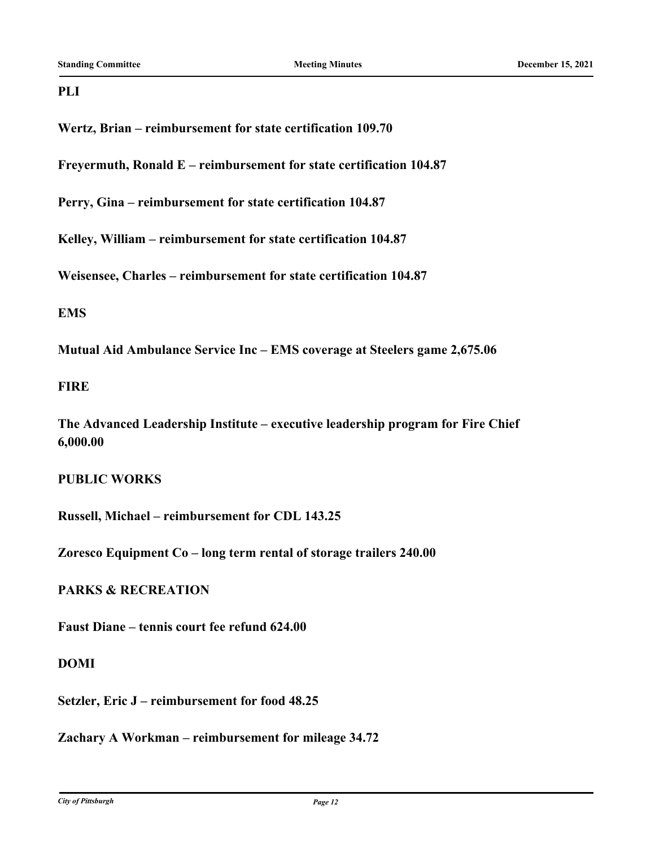## **PLI**

**Wertz, Brian – reimbursement for state certification 109.70**

**Freyermuth, Ronald E – reimbursement for state certification 104.87**

**Perry, Gina – reimbursement for state certification 104.87**

**Kelley, William – reimbursement for state certification 104.87**

**Weisensee, Charles – reimbursement for state certification 104.87**

## **EMS**

**Mutual Aid Ambulance Service Inc – EMS coverage at Steelers game 2,675.06**

## **FIRE**

**The Advanced Leadership Institute – executive leadership program for Fire Chief 6,000.00**

## **PUBLIC WORKS**

**Russell, Michael – reimbursement for CDL 143.25**

**Zoresco Equipment Co – long term rental of storage trailers 240.00**

# **PARKS & RECREATION**

**Faust Diane – tennis court fee refund 624.00**

## **DOMI**

**Setzler, Eric J – reimbursement for food 48.25**

**Zachary A Workman – reimbursement for mileage 34.72**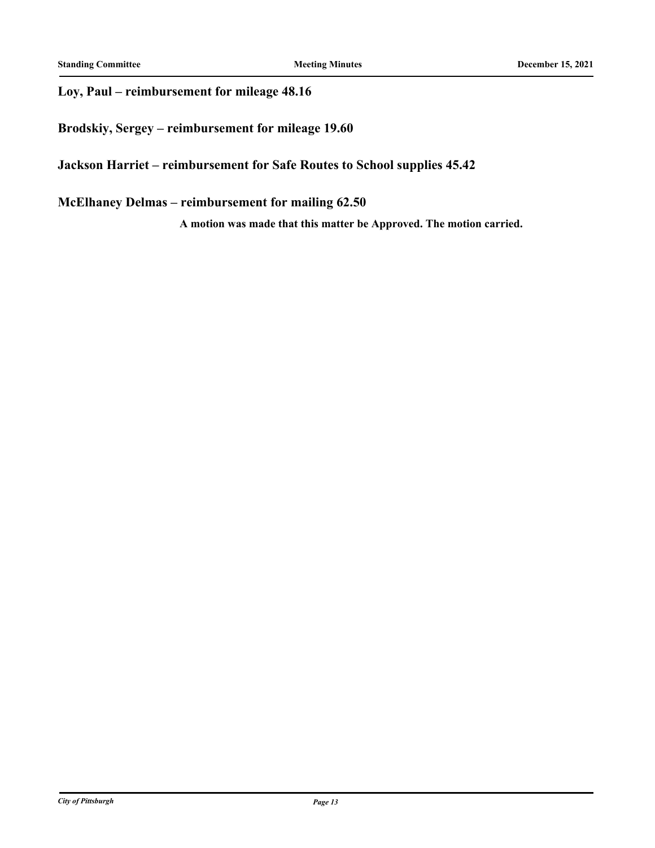# **Loy, Paul – reimbursement for mileage 48.16**

**Brodskiy, Sergey – reimbursement for mileage 19.60**

## **Jackson Harriet – reimbursement for Safe Routes to School supplies 45.42**

# **McElhaney Delmas – reimbursement for mailing 62.50**

**A motion was made that this matter be Approved. The motion carried.**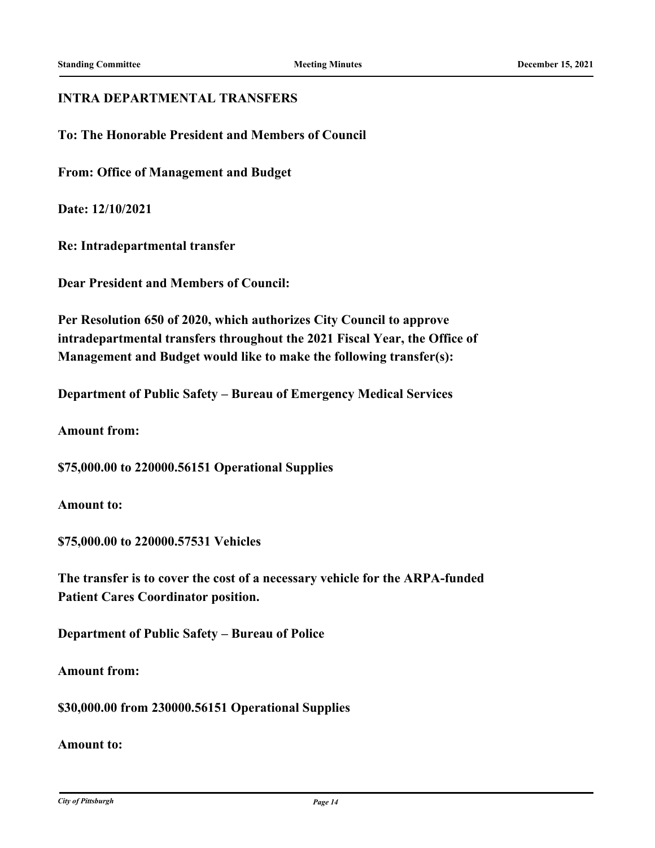## **INTRA DEPARTMENTAL TRANSFERS**

**To: The Honorable President and Members of Council**

**From: Office of Management and Budget**

**Date: 12/10/2021**

**Re: Intradepartmental transfer**

**Dear President and Members of Council:**

**Per Resolution 650 of 2020, which authorizes City Council to approve intradepartmental transfers throughout the 2021 Fiscal Year, the Office of Management and Budget would like to make the following transfer(s):**

**Department of Public Safety – Bureau of Emergency Medical Services**

**Amount from:**

**\$75,000.00 to 220000.56151 Operational Supplies**

**Amount to:**

**\$75,000.00 to 220000.57531 Vehicles**

**The transfer is to cover the cost of a necessary vehicle for the ARPA-funded Patient Cares Coordinator position.**

**Department of Public Safety – Bureau of Police**

**Amount from:**

**\$30,000.00 from 230000.56151 Operational Supplies**

**Amount to:**

*City of Pittsburgh Page 14*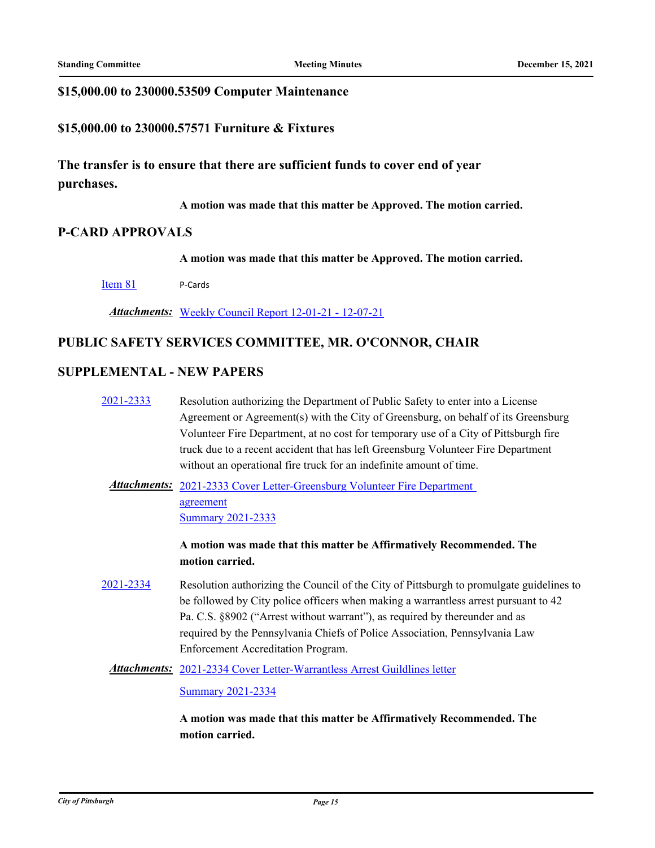## **\$15,000.00 to 230000.53509 Computer Maintenance**

## **\$15,000.00 to 230000.57571 Furniture & Fixtures**

**The transfer is to ensure that there are sufficient funds to cover end of year purchases.**

**A motion was made that this matter be Approved. The motion carried.**

## **P-CARD APPROVALS**

**A motion was made that this matter be Approved. The motion carried.**

[Item 81](http://pittsburgh.legistar.com/gateway.aspx?m=l&id=/matter.aspx?key=27253) P-Cards

*Attachments:* [Weekly Council Report 12-01-21 - 12-07-21](http://pittsburgh.legistar.com/gateway.aspx?M=F&ID=dab4ca39-e8bb-42ca-ae76-33a480f1e221.xls)

## **PUBLIC SAFETY SERVICES COMMITTEE, MR. O'CONNOR, CHAIR**

## **SUPPLEMENTAL - NEW PAPERS**

[2021-2333](http://pittsburgh.legistar.com/gateway.aspx?m=l&id=/matter.aspx?key=27236) Resolution authorizing the Department of Public Safety to enter into a License Agreement or Agreement(s) with the City of Greensburg, on behalf of its Greensburg Volunteer Fire Department, at no cost for temporary use of a City of Pittsburgh fire truck due to a recent accident that has left Greensburg Volunteer Fire Department without an operational fire truck for an indefinite amount of time.

Attachments: 2021-2333 Cover Letter-Greensburg Volunteer Fire Department agreement [Summary 2021-2333](http://pittsburgh.legistar.com/gateway.aspx?M=F&ID=25b8ddbf-4892-4126-b83f-0bc9c8794d42.docx)

> **A motion was made that this matter be Affirmatively Recommended. The motion carried.**

[2021-2334](http://pittsburgh.legistar.com/gateway.aspx?m=l&id=/matter.aspx?key=27237) Resolution authorizing the Council of the City of Pittsburgh to promulgate guidelines to be followed by City police officers when making a warrantless arrest pursuant to 42 Pa. C.S. §8902 ("Arrest without warrant"), as required by thereunder and as required by the Pennsylvania Chiefs of Police Association, Pennsylvania Law Enforcement Accreditation Program.

Attachments: [2021-2334 Cover Letter-Warrantless Arrest Guildlines letter](http://pittsburgh.legistar.com/gateway.aspx?M=F&ID=7d357306-07c9-47b6-9e9e-9140fbbf03ba.pdf)

[Summary 2021-2334](http://pittsburgh.legistar.com/gateway.aspx?M=F&ID=9a3f39e6-2ef9-41f2-9f43-27c3cd3fb4f9.docx)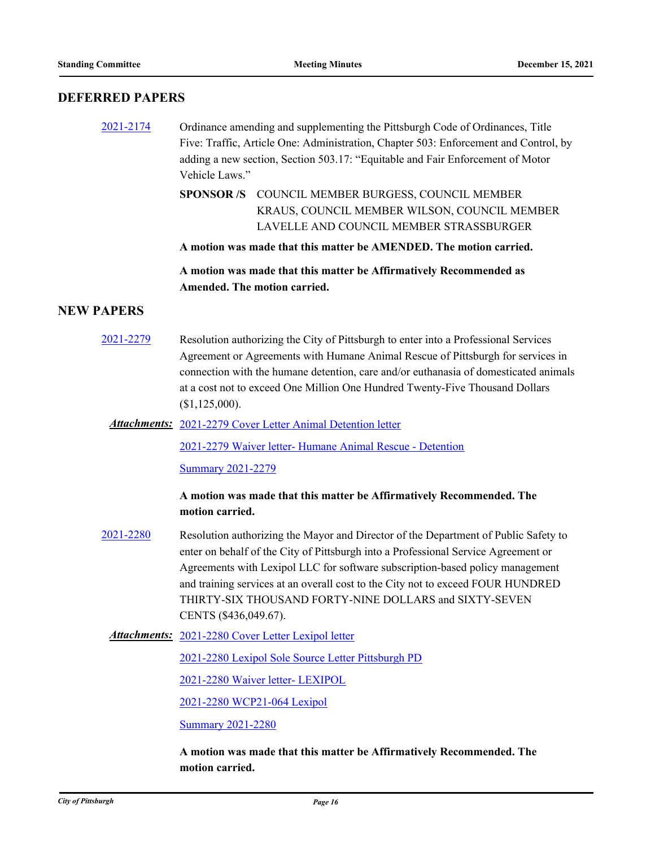## **DEFERRED PAPERS**

- [2021-2174](http://pittsburgh.legistar.com/gateway.aspx?m=l&id=/matter.aspx?key=27067) Ordinance amending and supplementing the Pittsburgh Code of Ordinances, Title Five: Traffic, Article One: Administration, Chapter 503: Enforcement and Control, by adding a new section, Section 503.17: "Equitable and Fair Enforcement of Motor Vehicle Laws."
	- SPONSOR /S COUNCIL MEMBER BURGESS, COUNCIL MEMBER KRAUS, COUNCIL MEMBER WILSON, COUNCIL MEMBER LAVELLE AND COUNCIL MEMBER STRASSBURGER

**A motion was made that this matter be AMENDED. The motion carried.**

**A motion was made that this matter be Affirmatively Recommended as Amended. The motion carried.**

## **NEW PAPERS**

[2021-2279](http://pittsburgh.legistar.com/gateway.aspx?m=l&id=/matter.aspx?key=27181) Resolution authorizing the City of Pittsburgh to enter into a Professional Services Agreement or Agreements with Humane Animal Rescue of Pittsburgh for services in connection with the humane detention, care and/or euthanasia of domesticated animals at a cost not to exceed One Million One Hundred Twenty-Five Thousand Dollars (\$1,125,000).

Attachments: [2021-2279 Cover Letter Animal Detention letter](http://pittsburgh.legistar.com/gateway.aspx?M=F&ID=4ab0025b-9aa1-487f-a5e7-0609017ce85e.pdf)

[2021-2279 Waiver letter- Humane Animal Rescue - Detention](http://pittsburgh.legistar.com/gateway.aspx?M=F&ID=9e453adf-17a4-4768-ada8-58bf653f8556.pdf)

[Summary 2021-2279](http://pittsburgh.legistar.com/gateway.aspx?M=F&ID=c3d4a56e-b349-404e-b25c-a95b3124a35e.docx)

**A motion was made that this matter be Affirmatively Recommended. The motion carried.**

- [2021-2280](http://pittsburgh.legistar.com/gateway.aspx?m=l&id=/matter.aspx?key=27182) Resolution authorizing the Mayor and Director of the Department of Public Safety to enter on behalf of the City of Pittsburgh into a Professional Service Agreement or Agreements with Lexipol LLC for software subscription-based policy management and training services at an overall cost to the City not to exceed FOUR HUNDRED THIRTY-SIX THOUSAND FORTY-NINE DOLLARS and SIXTY-SEVEN CENTS (\$436,049.67).
	- Attachments: [2021-2280 Cover Letter Lexipol letter](http://pittsburgh.legistar.com/gateway.aspx?M=F&ID=ee6d3233-d252-4451-8d7a-edbd239519b1.pdf)

[2021-2280 Lexipol Sole Source Letter Pittsburgh PD](http://pittsburgh.legistar.com/gateway.aspx?M=F&ID=1ecbf513-5f3e-4ed1-b10f-5a1141873060.docx)

[2021-2280 Waiver letter- LEXIPOL](http://pittsburgh.legistar.com/gateway.aspx?M=F&ID=c12a0be2-a244-4b09-b68e-4be29be3245b.docx)

[2021-2280 WCP21-064 Lexipol](http://pittsburgh.legistar.com/gateway.aspx?M=F&ID=6edf9fd8-0ece-45c9-af9c-262b2cf044b4.pdf)

**[Summary 2021-2280](http://pittsburgh.legistar.com/gateway.aspx?M=F&ID=f48f4530-8c4f-4513-ab54-534b9520383b.DOCX)**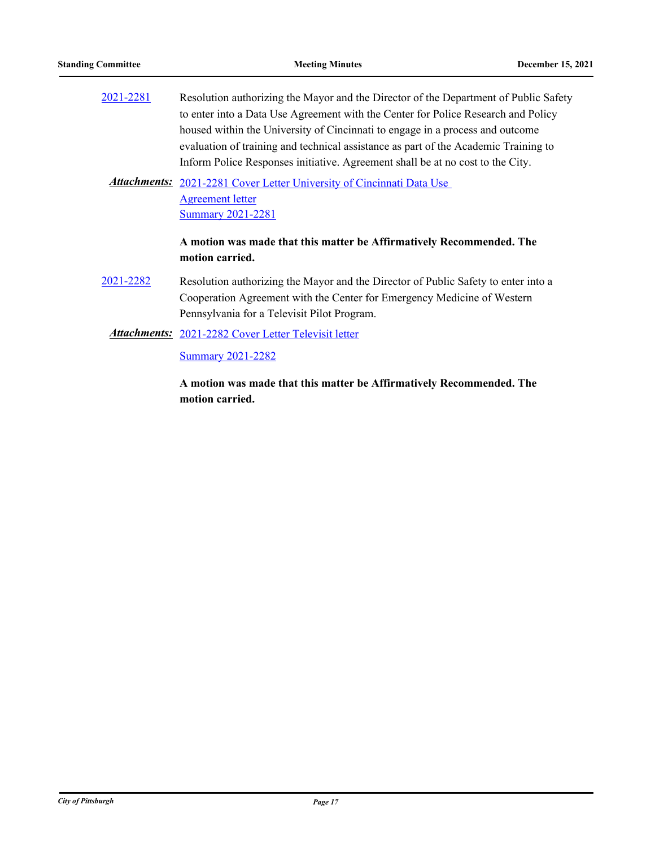| 2021-2281 | Resolution authorizing the Mayor and the Director of the Department of Public Safety |
|-----------|--------------------------------------------------------------------------------------|
|           | to enter into a Data Use Agreement with the Center for Police Research and Policy    |
|           | housed within the University of Cincinnati to engage in a process and outcome        |
|           | evaluation of training and technical assistance as part of the Academic Training to  |
|           | Inform Police Responses initiative. Agreement shall be at no cost to the City.       |

Attachments: 2021-2281 Cover Letter University of Cincinnati Data Use Agreement letter **[Summary 2021-2281](http://pittsburgh.legistar.com/gateway.aspx?M=F&ID=d2bc6e32-5822-4200-a8dc-6a5b1c30c0ce.docx)** 

## **A motion was made that this matter be Affirmatively Recommended. The motion carried.**

- [2021-2282](http://pittsburgh.legistar.com/gateway.aspx?m=l&id=/matter.aspx?key=27184) Resolution authorizing the Mayor and the Director of Public Safety to enter into a Cooperation Agreement with the Center for Emergency Medicine of Western Pennsylvania for a Televisit Pilot Program.
	- Attachments: [2021-2282 Cover Letter Televisit letter](http://pittsburgh.legistar.com/gateway.aspx?M=F&ID=0c43f275-9f62-49a7-ad60-7643cfb07f29.pdf)

**[Summary 2021-2282](http://pittsburgh.legistar.com/gateway.aspx?M=F&ID=bf6d3673-fb88-4efa-81a1-771f913598c7.docx)**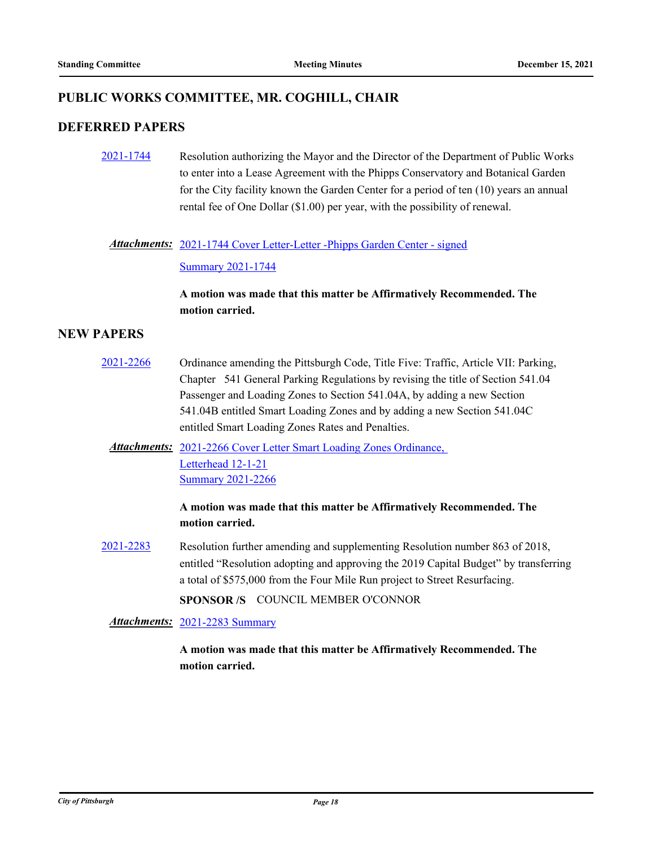# **PUBLIC WORKS COMMITTEE, MR. COGHILL, CHAIR**

## **DEFERRED PAPERS**

[2021-1744](http://pittsburgh.legistar.com/gateway.aspx?m=l&id=/matter.aspx?key=26611) Resolution authorizing the Mayor and the Director of the Department of Public Works to enter into a Lease Agreement with the Phipps Conservatory and Botanical Garden for the City facility known the Garden Center for a period of ten (10) years an annual rental fee of One Dollar (\$1.00) per year, with the possibility of renewal.

## Attachments: [2021-1744 Cover Letter-Letter -Phipps Garden Center - signed](http://pittsburgh.legistar.com/gateway.aspx?M=F&ID=46d1a619-9615-4836-8203-1da33da5987a.pdf)

#### [Summary 2021-1744](http://pittsburgh.legistar.com/gateway.aspx?M=F&ID=8f5a2ef3-7eec-4795-9300-988fdb4c09c0.docx)

## **A motion was made that this matter be Affirmatively Recommended. The motion carried.**

## **NEW PAPERS**

- [2021-2266](http://pittsburgh.legistar.com/gateway.aspx?m=l&id=/matter.aspx?key=27168) Ordinance amending the Pittsburgh Code, Title Five: Traffic, Article VII: Parking, Chapter 541 General Parking Regulations by revising the title of Section 541.04 Passenger and Loading Zones to Section 541.04A, by adding a new Section 541.04B entitled Smart Loading Zones and by adding a new Section 541.04C entitled Smart Loading Zones Rates and Penalties.
	- Attachments: 2021-2266 Cover Letter Smart Loading Zones Ordinance, Letterhead 12-1-21 [Summary 2021-2266](http://pittsburgh.legistar.com/gateway.aspx?M=F&ID=57cc36f0-ecc8-4095-ba1c-ac6709b15007.docx)

## **A motion was made that this matter be Affirmatively Recommended. The motion carried.**

[2021-2283](http://pittsburgh.legistar.com/gateway.aspx?m=l&id=/matter.aspx?key=27185) Resolution further amending and supplementing Resolution number 863 of 2018, entitled "Resolution adopting and approving the 2019 Capital Budget" by transferring a total of \$575,000 from the Four Mile Run project to Street Resurfacing. **SPONSOR /S** COUNCIL MEMBER O'CONNOR

*Attachments:* [2021-2283 Summary](http://pittsburgh.legistar.com/gateway.aspx?M=F&ID=35b21a63-3299-4f05-babd-339bf79549d1.docx)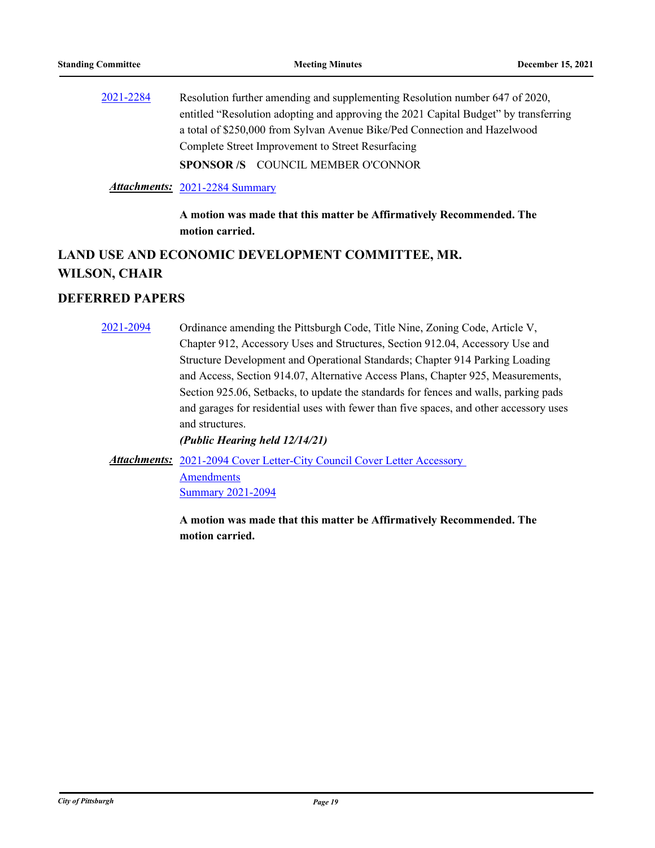[2021-2284](http://pittsburgh.legistar.com/gateway.aspx?m=l&id=/matter.aspx?key=27186) Resolution further amending and supplementing Resolution number 647 of 2020, entitled "Resolution adopting and approving the 2021 Capital Budget" by transferring a total of \$250,000 from Sylvan Avenue Bike/Ped Connection and Hazelwood Complete Street Improvement to Street Resurfacing **SPONSOR /S** COUNCIL MEMBER O'CONNOR

#### *Attachments:* [2021-2284 Summary](http://pittsburgh.legistar.com/gateway.aspx?M=F&ID=0d0e0717-06aa-4600-8878-1b96bf6806e8.docx)

**A motion was made that this matter be Affirmatively Recommended. The motion carried.**

# **LAND USE AND ECONOMIC DEVELOPMENT COMMITTEE, MR. WILSON, CHAIR**

## **DEFERRED PAPERS**

[2021-2094](http://pittsburgh.legistar.com/gateway.aspx?m=l&id=/matter.aspx?key=26977) Ordinance amending the Pittsburgh Code, Title Nine, Zoning Code, Article V, Chapter 912, Accessory Uses and Structures, Section 912.04, Accessory Use and Structure Development and Operational Standards; Chapter 914 Parking Loading and Access, Section 914.07, Alternative Access Plans, Chapter 925, Measurements, Section 925.06, Setbacks, to update the standards for fences and walls, parking pads and garages for residential uses with fewer than five spaces, and other accessory uses and structures.

*(Public Hearing held 12/14/21)*

Attachments: 2021-2094 Cover Letter-City Council Cover Letter Accessory

Amendments [Summary 2021-2094](http://pittsburgh.legistar.com/gateway.aspx?M=F&ID=84b02038-7a62-4faf-8ab4-663c53d488f6.docx)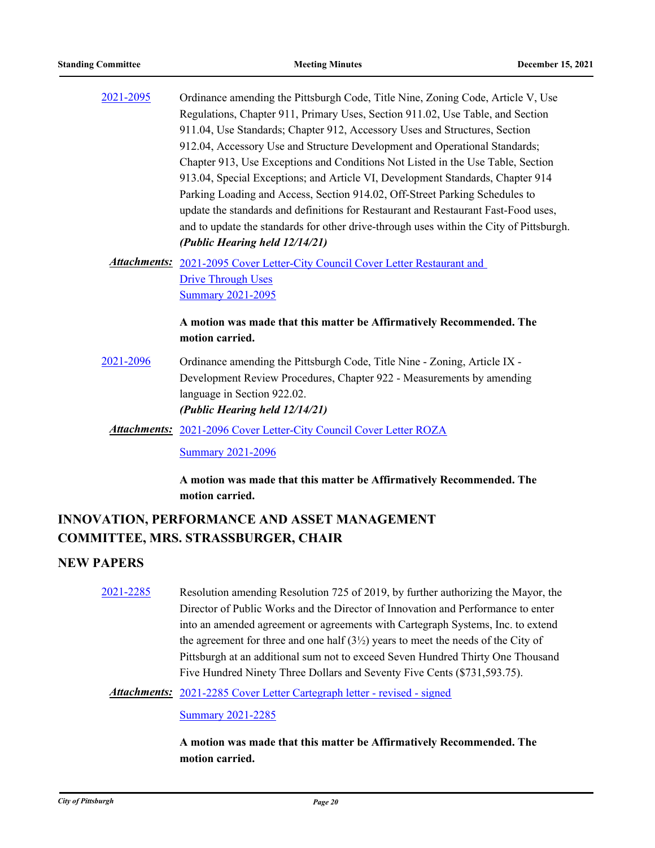| 2021-2095 | Ordinance amending the Pittsburgh Code, Title Nine, Zoning Code, Article V, Use         |
|-----------|-----------------------------------------------------------------------------------------|
|           | Regulations, Chapter 911, Primary Uses, Section 911.02, Use Table, and Section          |
|           | 911.04, Use Standards; Chapter 912, Accessory Uses and Structures, Section              |
|           | 912.04, Accessory Use and Structure Development and Operational Standards;              |
|           | Chapter 913, Use Exceptions and Conditions Not Listed in the Use Table, Section         |
|           | 913.04, Special Exceptions; and Article VI, Development Standards, Chapter 914          |
|           | Parking Loading and Access, Section 914.02, Off-Street Parking Schedules to             |
|           | update the standards and definitions for Restaurant and Restaurant Fast-Food uses,      |
|           | and to update the standards for other drive-through uses within the City of Pittsburgh. |
|           | (Public Hearing held 12/14/21)                                                          |
|           | <b>Attachments:</b> 2021-2095 Cover Letter-City Council Cover Letter Restaurant and     |
|           | <b>Drive Through Uses</b>                                                               |
|           | <b>Summary 2021-2095</b>                                                                |
|           | A motion was made that this matter be Affirmatively Recommended. The                    |
|           | motion carried.                                                                         |
| 2021-2096 | Ordinance amending the Pittsburgh Code, Title Nine - Zoning, Article IX -               |
|           | Development Review Procedures, Chapter 922 - Measurements by amending                   |

[2021-2096 Cover Letter-City Council Cover Letter ROZA](http://pittsburgh.legistar.com/gateway.aspx?M=F&ID=5c235925-a061-4c4c-ab4c-ec42944e9950.docx) *Attachments:*

**[Summary 2021-2096](http://pittsburgh.legistar.com/gateway.aspx?M=F&ID=1f949b37-d62f-4904-a111-ccad45169c94.docx)** 

language in Section 922.02. *(Public Hearing held 12/14/21)*

**A motion was made that this matter be Affirmatively Recommended. The motion carried.**

# **INNOVATION, PERFORMANCE AND ASSET MANAGEMENT COMMITTEE, MRS. STRASSBURGER, CHAIR**

## **NEW PAPERS**

[2021-2285](http://pittsburgh.legistar.com/gateway.aspx?m=l&id=/matter.aspx?key=27187) Resolution amending Resolution 725 of 2019, by further authorizing the Mayor, the Director of Public Works and the Director of Innovation and Performance to enter into an amended agreement or agreements with Cartegraph Systems, Inc. to extend the agreement for three and one half  $(3\frac{1}{2})$  years to meet the needs of the City of Pittsburgh at an additional sum not to exceed Seven Hundred Thirty One Thousand Five Hundred Ninety Three Dollars and Seventy Five Cents (\$731,593.75).

Attachments: [2021-2285 Cover Letter Cartegraph letter - revised - signed](http://pittsburgh.legistar.com/gateway.aspx?M=F&ID=95584a8f-c637-48fe-a12b-0547e1baf5c0.pdf)

#### [Summary 2021-2285](http://pittsburgh.legistar.com/gateway.aspx?M=F&ID=3b4efe26-f502-4416-a582-73269b220c1d.docx)